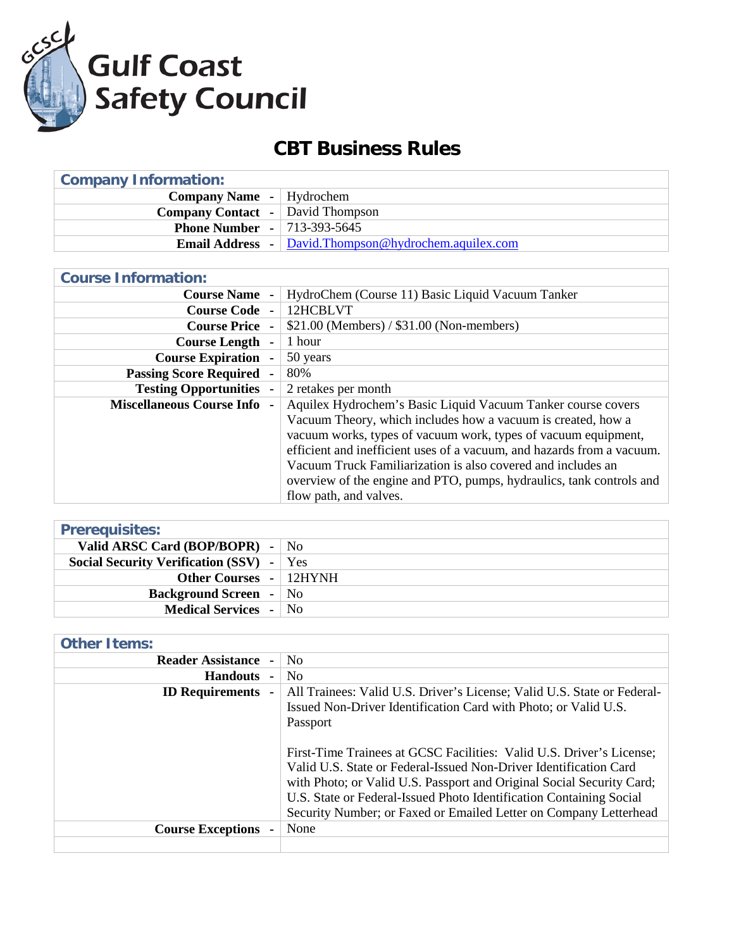

## **CBT Business Rules**

| <b>Company Information:</b>             |                                                                            |  |
|-----------------------------------------|----------------------------------------------------------------------------|--|
| <b>Company Name</b> -   Hydrochem       |                                                                            |  |
| <b>Company Contact</b> - David Thompson |                                                                            |  |
| <b>Phone Number - 713-393-5645</b>      |                                                                            |  |
|                                         | <b>Email Address</b> $\blacksquare$ David. Thompson @hydrochem.aquilex.com |  |

| <b>Course Information:</b>                     |                                                                        |
|------------------------------------------------|------------------------------------------------------------------------|
| <b>Course Name</b><br>$\blacksquare$           | HydroChem (Course 11) Basic Liquid Vacuum Tanker                       |
| <b>Course Code -</b>                           | 12HCBLVT                                                               |
| <b>Course Price -</b>                          | $$21.00$ (Members) / $$31.00$ (Non-members)                            |
| <b>Course Length</b><br>٠                      | 1 hour                                                                 |
| <b>Course Expiration -</b>                     | 50 years                                                               |
| <b>Passing Score Required</b>                  | 80%                                                                    |
| <b>Testing Opportunities</b><br>$\blacksquare$ | 2 retakes per month                                                    |
| <b>Miscellaneous Course Info</b>               | Aquilex Hydrochem's Basic Liquid Vacuum Tanker course covers           |
|                                                | Vacuum Theory, which includes how a vacuum is created, how a           |
|                                                | vacuum works, types of vacuum work, types of vacuum equipment,         |
|                                                | efficient and inefficient uses of a vacuum, and hazards from a vacuum. |
|                                                | Vacuum Truck Familiarization is also covered and includes an           |
|                                                | overview of the engine and PTO, pumps, hydraulics, tank controls and   |
|                                                | flow path, and valves.                                                 |

| <b>Prerequisites:</b>                           |  |
|-------------------------------------------------|--|
| Valid ARSC Card (BOP/BOPR) - $\vert$ No         |  |
| <b>Social Security Verification (SSV)</b> - Yes |  |
| <b>Other Courses -   12HYNH</b>                 |  |
| <b>Background Screen</b> - No                   |  |
| <b>Medical Services</b> - No                    |  |

## **Other Items:**

| <b>Reader Assistance</b> | N <sub>0</sub>                                                                                                                                                                                                                                                                                                                                                 |
|--------------------------|----------------------------------------------------------------------------------------------------------------------------------------------------------------------------------------------------------------------------------------------------------------------------------------------------------------------------------------------------------------|
| <b>Handouts</b>          | N <sub>0</sub>                                                                                                                                                                                                                                                                                                                                                 |
| <b>ID Requirements</b>   | All Trainees: Valid U.S. Driver's License; Valid U.S. State or Federal-<br>Issued Non-Driver Identification Card with Photo; or Valid U.S.<br>Passport                                                                                                                                                                                                         |
|                          | First-Time Trainees at GCSC Facilities: Valid U.S. Driver's License;<br>Valid U.S. State or Federal-Issued Non-Driver Identification Card<br>with Photo; or Valid U.S. Passport and Original Social Security Card;<br>U.S. State or Federal-Issued Photo Identification Containing Social<br>Security Number; or Faxed or Emailed Letter on Company Letterhead |
| <b>Course Exceptions</b> | None                                                                                                                                                                                                                                                                                                                                                           |
|                          |                                                                                                                                                                                                                                                                                                                                                                |